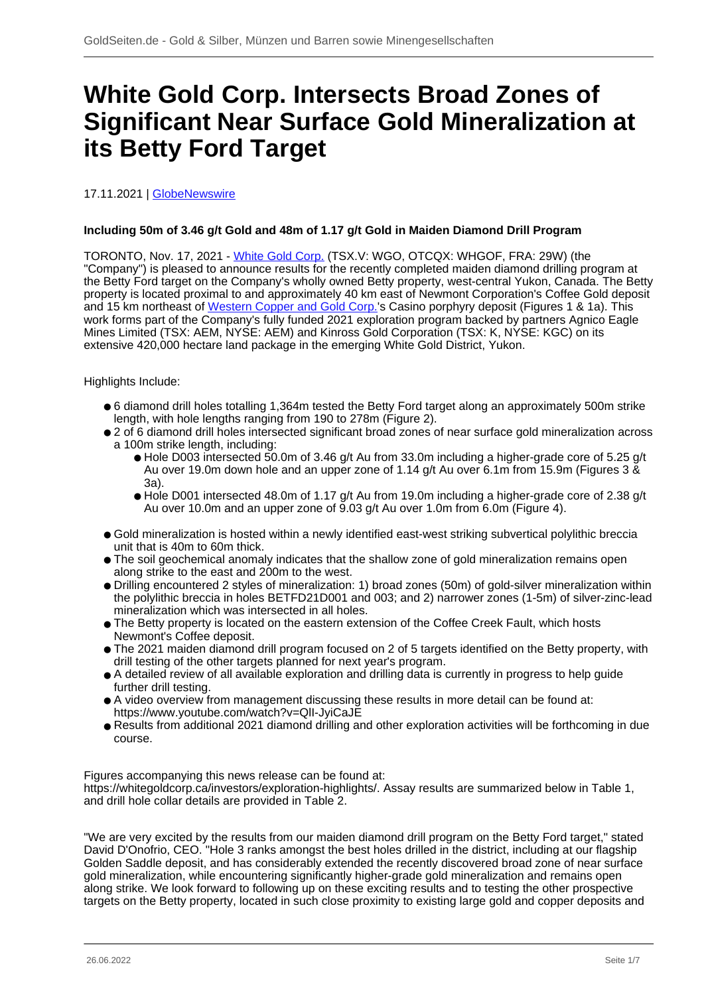# **White Gold Corp. Intersects Broad Zones of Significant Near Surface Gold Mineralization at its Betty Ford Target**

17.11.2021 | [GlobeNewswire](/profil/261--GlobeNewswire)

### **Including 50m of 3.46 g/t Gold and 48m of 1.17 g/t Gold in Maiden Diamond Drill Program**

TORONTO, Nov. 17, 2021 - [White Gold Corp.](/minen/3340--White-Gold-Corp) (TSX.V: WGO, OTCQX: WHGOF, FRA: 29W) (the "Company") is pleased to announce results for the recently completed maiden diamond drilling program at the Betty Ford target on the Company's wholly owned Betty property, west-central Yukon, Canada. The Betty property is located proximal to and approximately 40 km east of Newmont Corporation's Coffee Gold deposit and 15 km northeast of [Western Copper and Gold Corp.](/minen/612--Western-Copper-and-Gold-Corp)'s Casino porphyry deposit (Figures 1 & 1a). This work forms part of the Company's fully funded 2021 exploration program backed by partners Agnico Eagle Mines Limited (TSX: AEM, NYSE: AEM) and Kinross Gold Corporation (TSX: K, NYSE: KGC) on its extensive 420,000 hectare land package in the emerging White Gold District, Yukon.

Highlights Include:

- 6 diamond drill holes totalling 1,364m tested the Betty Ford target along an approximately 500m strike length, with hole lengths ranging from 190 to 278m (Figure 2).
- 2 of 6 diamond drill holes intersected significant broad zones of near surface gold mineralization across a 100m strike length, including:
	- Hole D003 intersected 50.0m of 3.46 g/t Au from 33.0m including a higher-grade core of 5.25 g/t Au over 19.0m down hole and an upper zone of 1.14 g/t Au over 6.1m from 15.9m (Figures 3 & 3a).
	- Hole D001 intersected 48.0m of 1.17 g/t Au from 19.0m including a higher-grade core of 2.38 g/t Au over 10.0m and an upper zone of 9.03 g/t Au over 1.0m from 6.0m (Figure 4).
- Gold mineralization is hosted within a newly identified east-west striking subvertical polylithic breccia unit that is 40m to 60m thick.
- The soil geochemical anomaly indicates that the shallow zone of gold mineralization remains open along strike to the east and 200m to the west.
- Drilling encountered 2 styles of mineralization: 1) broad zones (50m) of gold-silver mineralization within the polylithic breccia in holes BETFD21D001 and 003; and 2) narrower zones (1-5m) of silver-zinc-lead mineralization which was intersected in all holes.
- The Betty property is located on the eastern extension of the Coffee Creek Fault, which hosts Newmont's Coffee deposit.
- The 2021 maiden diamond drill program focused on 2 of 5 targets identified on the Betty property, with drill testing of the other targets planned for next year's program.
- A detailed review of all available exploration and drilling data is currently in progress to help guide further drill testing.
- A video overview from management discussing these results in more detail can be found at: https://www.youtube.com/watch?v=QlI-JyiCaJE
- Results from additional 2021 diamond drilling and other exploration activities will be forthcoming in due course.

Figures accompanying this news release can be found at:

https://whitegoldcorp.ca/investors/exploration-highlights/. Assay results are summarized below in Table 1, and drill hole collar details are provided in Table 2.

"We are very excited by the results from our maiden diamond drill program on the Betty Ford target," stated David D'Onofrio, CEO. "Hole 3 ranks amongst the best holes drilled in the district, including at our flagship Golden Saddle deposit, and has considerably extended the recently discovered broad zone of near surface gold mineralization, while encountering significantly higher-grade gold mineralization and remains open along strike. We look forward to following up on these exciting results and to testing the other prospective targets on the Betty property, located in such close proximity to existing large gold and copper deposits and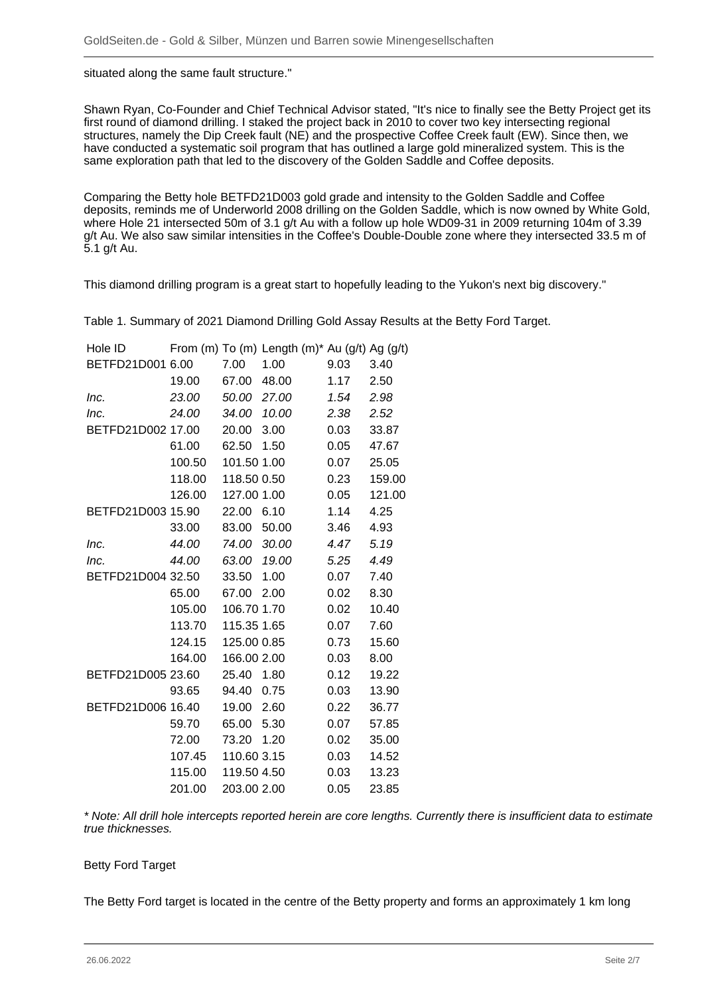situated along the same fault structure."

Shawn Ryan, Co-Founder and Chief Technical Advisor stated, "It's nice to finally see the Betty Project get its first round of diamond drilling. I staked the project back in 2010 to cover two key intersecting regional structures, namely the Dip Creek fault (NE) and the prospective Coffee Creek fault (EW). Since then, we have conducted a systematic soil program that has outlined a large gold mineralized system. This is the same exploration path that led to the discovery of the Golden Saddle and Coffee deposits.

Comparing the Betty hole BETFD21D003 gold grade and intensity to the Golden Saddle and Coffee deposits, reminds me of Underworld 2008 drilling on the Golden Saddle, which is now owned by White Gold, where Hole 21 intersected 50m of 3.1 g/t Au with a follow up hole WD09-31 in 2009 returning 104m of 3.39 g/t Au. We also saw similar intensities in the Coffee's Double-Double zone where they intersected 33.5 m of 5.1 g/t Au.

This diamond drilling program is a great start to hopefully leading to the Yukon's next big discovery."

Table 1. Summary of 2021 Diamond Drilling Gold Assay Results at the Betty Ford Target.

| Hole ID           |        |             | From (m) To (m) Length (m)* Au (g/t) Ag (g/t) |          |        |
|-------------------|--------|-------------|-----------------------------------------------|----------|--------|
| BETFD21D001 6.00  |        | 7.00        | 1.00                                          | 9.03     | 3.40   |
|                   | 19.00  | 67.00       | 48.00                                         | 1.17     | 2.50   |
| Inc.              | 23.00  | 50.00       | 27.00                                         | 1.54     | 2.98   |
| Inc.              | 24.00  | 34.00       | 10.00                                         | 2.38     | 2.52   |
| BETFD21D002 17.00 |        | 20.00       | 3.00                                          | $0.03 -$ | 33.87  |
|                   | 61.00  | 62.50       | 1.50                                          | 0.05     | 47.67  |
|                   | 100.50 | 101.50 1.00 |                                               | 0.07     | 25.05  |
|                   | 118.00 | 118.50 0.50 |                                               | 0.23     | 159.00 |
|                   | 126.00 | 127.00 1.00 |                                               | 0.05     | 121.00 |
| BETFD21D003 15.90 |        | 22.00       | 6.10                                          | 1.14     | 4.25   |
|                   | 33.00  | 83.00       | 50.00                                         | 3.46     | 4.93   |
| Inc.              | 44.00  | 74.00 30.00 |                                               | 4.47     | 5.19   |
| Inc.              | 44.00  | 63.00       | 19.00                                         | 5.25     | 4.49   |
| BETFD21D004 32.50 |        | 33.50       | 1.00                                          | 0.07     | 7.40   |
|                   | 65.00  | 67.00       | 2.00                                          | 0.02     | 8.30   |
|                   | 105.00 | 106.70 1.70 |                                               | 0.02     | 10.40  |
|                   | 113.70 | 115.35 1.65 |                                               | 0.07     | 7.60   |
|                   | 124.15 | 125.00 0.85 |                                               | 0.73     | 15.60  |
|                   | 164.00 | 166.00 2.00 |                                               | 0.03     | 8.00   |
| BETFD21D005 23.60 |        | 25.40 1.80  |                                               | 0.12     | 19.22  |
|                   | 93.65  | 94.40       | 0.75                                          | 0.03     | 13.90  |
| BETFD21D006 16.40 |        | 19.00       | 2.60                                          | 0.22     | 36.77  |
|                   | 59.70  | 65.00       | 5.30                                          | 0.07     | 57.85  |
|                   | 72.00  | 73.20       | 1.20                                          | 0.02     | 35.00  |
|                   | 107.45 | 110.60 3.15 |                                               | 0.03     | 14.52  |
|                   | 115.00 | 119.50 4.50 |                                               | 0.03     | 13.23  |
|                   | 201.00 | 203.00 2.00 |                                               | 0.05     | 23.85  |

\* Note: All drill hole intercepts reported herein are core lengths. Currently there is insufficient data to estimate true thicknesses.

#### Betty Ford Target

The Betty Ford target is located in the centre of the Betty property and forms an approximately 1 km long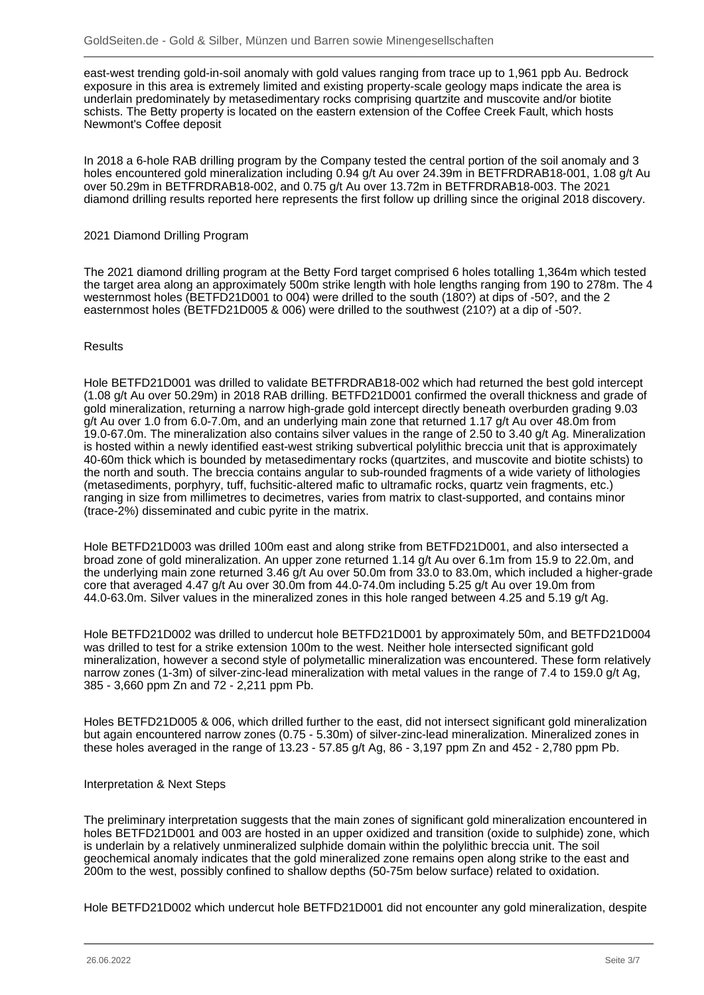east-west trending gold-in-soil anomaly with gold values ranging from trace up to 1,961 ppb Au. Bedrock exposure in this area is extremely limited and existing property-scale geology maps indicate the area is underlain predominately by metasedimentary rocks comprising quartzite and muscovite and/or biotite schists. The Betty property is located on the eastern extension of the Coffee Creek Fault, which hosts Newmont's Coffee deposit

In 2018 a 6-hole RAB drilling program by the Company tested the central portion of the soil anomaly and 3 holes encountered gold mineralization including 0.94 g/t Au over 24.39m in BETFRDRAB18-001, 1.08 g/t Au over 50.29m in BETFRDRAB18-002, and 0.75 g/t Au over 13.72m in BETFRDRAB18-003. The 2021 diamond drilling results reported here represents the first follow up drilling since the original 2018 discovery.

#### 2021 Diamond Drilling Program

The 2021 diamond drilling program at the Betty Ford target comprised 6 holes totalling 1,364m which tested the target area along an approximately 500m strike length with hole lengths ranging from 190 to 278m. The 4 westernmost holes (BETFD21D001 to 004) were drilled to the south (180?) at dips of -50?, and the 2 easternmost holes (BETFD21D005 & 006) were drilled to the southwest (210?) at a dip of -50?.

#### Results

Hole BETFD21D001 was drilled to validate BETFRDRAB18-002 which had returned the best gold intercept (1.08 g/t Au over 50.29m) in 2018 RAB drilling. BETFD21D001 confirmed the overall thickness and grade of gold mineralization, returning a narrow high-grade gold intercept directly beneath overburden grading 9.03 g/t Au over 1.0 from 6.0-7.0m, and an underlying main zone that returned 1.17 g/t Au over 48.0m from 19.0-67.0m. The mineralization also contains silver values in the range of 2.50 to 3.40 g/t Ag. Mineralization is hosted within a newly identified east-west striking subvertical polylithic breccia unit that is approximately 40-60m thick which is bounded by metasedimentary rocks (quartzites, and muscovite and biotite schists) to the north and south. The breccia contains angular to sub-rounded fragments of a wide variety of lithologies (metasediments, porphyry, tuff, fuchsitic-altered mafic to ultramafic rocks, quartz vein fragments, etc.) ranging in size from millimetres to decimetres, varies from matrix to clast-supported, and contains minor (trace-2%) disseminated and cubic pyrite in the matrix.

Hole BETFD21D003 was drilled 100m east and along strike from BETFD21D001, and also intersected a broad zone of gold mineralization. An upper zone returned 1.14 g/t Au over 6.1m from 15.9 to 22.0m, and the underlying main zone returned 3.46 g/t Au over 50.0m from 33.0 to 83.0m, which included a higher-grade core that averaged 4.47 g/t Au over 30.0m from 44.0-74.0m including 5.25 g/t Au over 19.0m from 44.0-63.0m. Silver values in the mineralized zones in this hole ranged between 4.25 and 5.19 g/t Ag.

Hole BETFD21D002 was drilled to undercut hole BETFD21D001 by approximately 50m, and BETFD21D004 was drilled to test for a strike extension 100m to the west. Neither hole intersected significant gold mineralization, however a second style of polymetallic mineralization was encountered. These form relatively narrow zones (1-3m) of silver-zinc-lead mineralization with metal values in the range of 7.4 to 159.0 g/t Ag, 385 - 3,660 ppm Zn and 72 - 2,211 ppm Pb.

Holes BETFD21D005 & 006, which drilled further to the east, did not intersect significant gold mineralization but again encountered narrow zones (0.75 - 5.30m) of silver-zinc-lead mineralization. Mineralized zones in these holes averaged in the range of  $13.23 - 57.85$  g/t Ag, 86 - 3,197 ppm Zn and 452 - 2,780 ppm Pb.

#### Interpretation & Next Steps

The preliminary interpretation suggests that the main zones of significant gold mineralization encountered in holes BETFD21D001 and 003 are hosted in an upper oxidized and transition (oxide to sulphide) zone, which is underlain by a relatively unmineralized sulphide domain within the polylithic breccia unit. The soil geochemical anomaly indicates that the gold mineralized zone remains open along strike to the east and 200m to the west, possibly confined to shallow depths (50-75m below surface) related to oxidation.

Hole BETFD21D002 which undercut hole BETFD21D001 did not encounter any gold mineralization, despite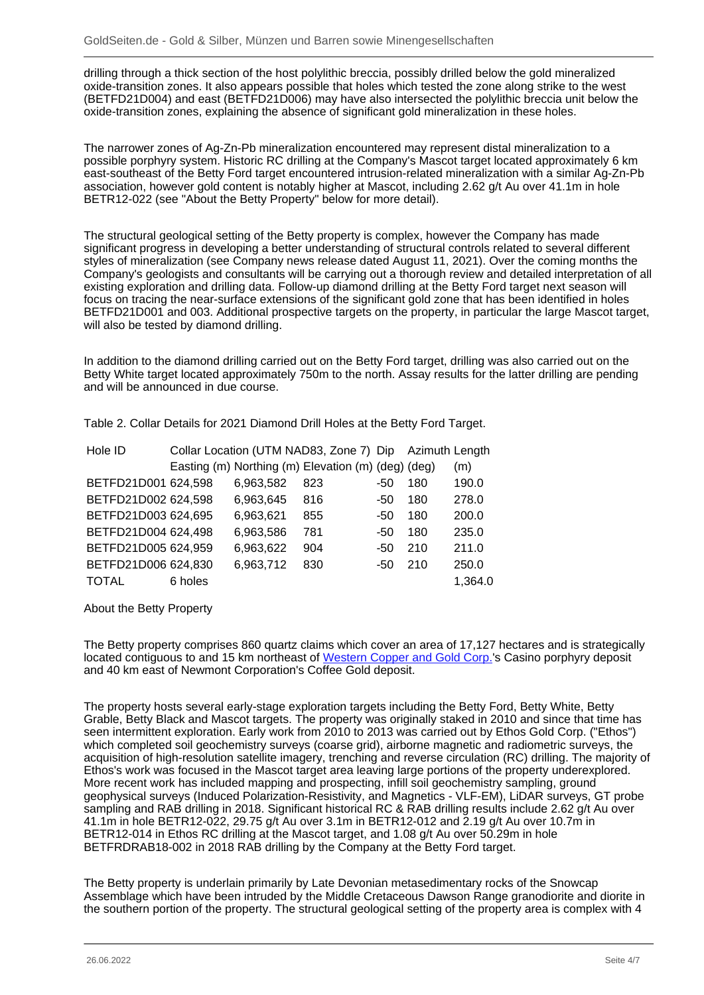drilling through a thick section of the host polylithic breccia, possibly drilled below the gold mineralized oxide-transition zones. It also appears possible that holes which tested the zone along strike to the west (BETFD21D004) and east (BETFD21D006) may have also intersected the polylithic breccia unit below the oxide-transition zones, explaining the absence of significant gold mineralization in these holes.

The narrower zones of Ag-Zn-Pb mineralization encountered may represent distal mineralization to a possible porphyry system. Historic RC drilling at the Company's Mascot target located approximately 6 km east-southeast of the Betty Ford target encountered intrusion-related mineralization with a similar Ag-Zn-Pb association, however gold content is notably higher at Mascot, including 2.62 g/t Au over 41.1m in hole BETR12-022 (see "About the Betty Property" below for more detail).

The structural geological setting of the Betty property is complex, however the Company has made significant progress in developing a better understanding of structural controls related to several different styles of mineralization (see Company news release dated August 11, 2021). Over the coming months the Company's geologists and consultants will be carrying out a thorough review and detailed interpretation of all existing exploration and drilling data. Follow-up diamond drilling at the Betty Ford target next season will focus on tracing the near-surface extensions of the significant gold zone that has been identified in holes BETFD21D001 and 003. Additional prospective targets on the property, in particular the large Mascot target, will also be tested by diamond drilling.

In addition to the diamond drilling carried out on the Betty Ford target, drilling was also carried out on the Betty White target located approximately 750m to the north. Assay results for the latter drilling are pending and will be announced in due course.

Table 2. Collar Details for 2021 Diamond Drill Holes at the Betty Ford Target.

| Hole ID             |         |           | Collar Location (UTM NAD83, Zone 7) Dip Azimuth Length |     |     |         |
|---------------------|---------|-----------|--------------------------------------------------------|-----|-----|---------|
|                     |         |           | Easting (m) Northing (m) Elevation (m) (deg) (deg)     |     |     | (m)     |
| BETFD21D001 624,598 |         | 6,963,582 | 823                                                    | -50 | 180 | 190.0   |
| BETFD21D002 624,598 |         | 6,963,645 | 816                                                    | -50 | 180 | 278.0   |
| BETFD21D003 624,695 |         | 6,963,621 | 855                                                    | -50 | 180 | 200.0   |
| BETFD21D004 624,498 |         | 6,963,586 | 781                                                    | -50 | 180 | 235.0   |
| BETFD21D005 624,959 |         | 6,963,622 | 904                                                    | -50 | 210 | 211.0   |
| BETFD21D006 624,830 |         | 6,963,712 | 830                                                    | -50 | 210 | 250.0   |
| <b>TOTAL</b>        | 6 holes |           |                                                        |     |     | 1,364.0 |

About the Betty Property

The Betty property comprises 860 quartz claims which cover an area of 17,127 hectares and is strategically located contiguous to and 15 km northeast of [Western Copper and Gold Corp.](/minen/612--Western-Copper-and-Gold-Corp)'s Casino porphyry deposit and 40 km east of Newmont Corporation's Coffee Gold deposit.

The property hosts several early-stage exploration targets including the Betty Ford, Betty White, Betty Grable, Betty Black and Mascot targets. The property was originally staked in 2010 and since that time has seen intermittent exploration. Early work from 2010 to 2013 was carried out by Ethos Gold Corp. ("Ethos") which completed soil geochemistry surveys (coarse grid), airborne magnetic and radiometric surveys, the acquisition of high-resolution satellite imagery, trenching and reverse circulation (RC) drilling. The majority of Ethos's work was focused in the Mascot target area leaving large portions of the property underexplored. More recent work has included mapping and prospecting, infill soil geochemistry sampling, ground geophysical surveys (Induced Polarization-Resistivity, and Magnetics - VLF-EM), LiDAR surveys, GT probe sampling and RAB drilling in 2018. Significant historical RC & RAB drilling results include 2.62 g/t Au over 41.1m in hole BETR12-022, 29.75 g/t Au over 3.1m in BETR12-012 and 2.19 g/t Au over 10.7m in BETR12-014 in Ethos RC drilling at the Mascot target, and 1.08 g/t Au over 50.29m in hole BETFRDRAB18-002 in 2018 RAB drilling by the Company at the Betty Ford target.

The Betty property is underlain primarily by Late Devonian metasedimentary rocks of the Snowcap Assemblage which have been intruded by the Middle Cretaceous Dawson Range granodiorite and diorite in the southern portion of the property. The structural geological setting of the property area is complex with 4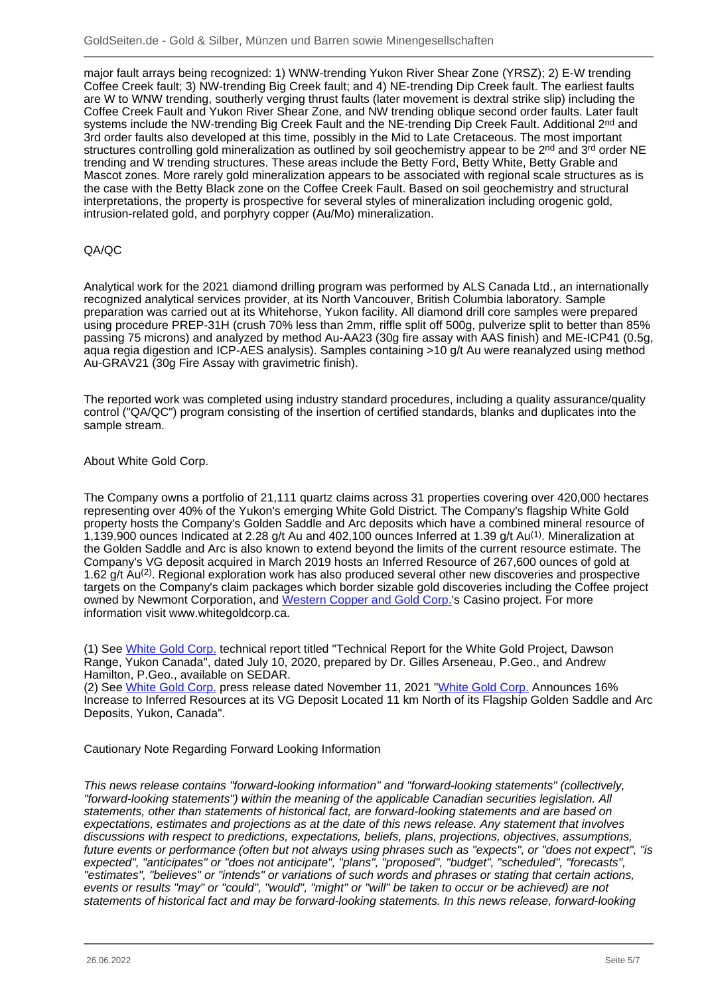major fault arrays being recognized: 1) WNW-trending Yukon River Shear Zone (YRSZ); 2) E-W trending Coffee Creek fault; 3) NW-trending Big Creek fault; and 4) NE-trending Dip Creek fault. The earliest faults are W to WNW trending, southerly verging thrust faults (later movement is dextral strike slip) including the Coffee Creek Fault and Yukon River Shear Zone, and NW trending oblique second order faults. Later fault systems include the NW-trending Big Creek Fault and the NE-trending Dip Creek Fault. Additional 2nd and 3rd order faults also developed at this time, possibly in the Mid to Late Cretaceous. The most important structures controlling gold mineralization as outlined by soil geochemistry appear to be 2<sup>nd</sup> and 3<sup>rd</sup> order NE trending and W trending structures. These areas include the Betty Ford, Betty White, Betty Grable and Mascot zones. More rarely gold mineralization appears to be associated with regional scale structures as is the case with the Betty Black zone on the Coffee Creek Fault. Based on soil geochemistry and structural interpretations, the property is prospective for several styles of mineralization including orogenic gold, intrusion-related gold, and porphyry copper (Au/Mo) mineralization.

## QA/QC

Analytical work for the 2021 diamond drilling program was performed by ALS Canada Ltd., an internationally recognized analytical services provider, at its North Vancouver, British Columbia laboratory. Sample preparation was carried out at its Whitehorse, Yukon facility. All diamond drill core samples were prepared using procedure PREP-31H (crush 70% less than 2mm, riffle split off 500g, pulverize split to better than 85% passing 75 microns) and analyzed by method Au-AA23 (30g fire assay with AAS finish) and ME-ICP41 (0.5g, aqua regia digestion and ICP-AES analysis). Samples containing >10 g/t Au were reanalyzed using method Au-GRAV21 (30g Fire Assay with gravimetric finish).

The reported work was completed using industry standard procedures, including a quality assurance/quality control ("QA/QC") program consisting of the insertion of certified standards, blanks and duplicates into the sample stream.

#### About White Gold Corp.

The Company owns a portfolio of 21,111 quartz claims across 31 properties covering over 420,000 hectares representing over 40% of the Yukon's emerging White Gold District. The Company's flagship White Gold property hosts the Company's Golden Saddle and Arc deposits which have a combined mineral resource of 1,139,900 ounces Indicated at 2.28 g/t Au and 402,100 ounces Inferred at 1.39 g/t Au<sup>(1)</sup>. Mineralization at the Golden Saddle and Arc is also known to extend beyond the limits of the current resource estimate. The Company's VG deposit acquired in March 2019 hosts an Inferred Resource of 267,600 ounces of gold at 1.62 g/t Au<sup>(2)</sup>. Regional exploration work has also produced several other new discoveries and prospective targets on the Company's claim packages which border sizable gold discoveries including the Coffee project owned by Newmont Corporation, and [Western Copper and Gold Corp.](/minen/612--Western-Copper-and-Gold-Corp)'s Casino project. For more information visit www.whitegoldcorp.ca.

(1) See [White Gold Corp.](/minen/3340--White-Gold-Corp) technical report titled "Technical Report for the White Gold Project, Dawson Range, Yukon Canada", dated July 10, 2020, prepared by Dr. Gilles Arseneau, P.Geo., and Andrew Hamilton, P.Geo., available on SEDAR.

(2) See [White Gold Corp.](/minen/3340--White-Gold-Corp) press release dated November 11, 2021 "[White Gold Corp.](/minen/3340--White-Gold-Corp) Announces 16% Increase to Inferred Resources at its VG Deposit Located 11 km North of its Flagship Golden Saddle and Arc Deposits, Yukon, Canada".

#### Cautionary Note Regarding Forward Looking Information

This news release contains "forward-looking information" and "forward-looking statements" (collectively, "forward-looking statements") within the meaning of the applicable Canadian securities legislation. All statements, other than statements of historical fact, are forward-looking statements and are based on expectations, estimates and projections as at the date of this news release. Any statement that involves discussions with respect to predictions, expectations, beliefs, plans, projections, objectives, assumptions, future events or performance (often but not always using phrases such as "expects", or "does not expect", "is expected", "anticipates" or "does not anticipate", "plans", "proposed", "budget", "scheduled", "forecasts", "estimates", "believes" or "intends" or variations of such words and phrases or stating that certain actions, events or results "may" or "could", "would", "might" or "will" be taken to occur or be achieved) are not statements of historical fact and may be forward-looking statements. In this news release, forward-looking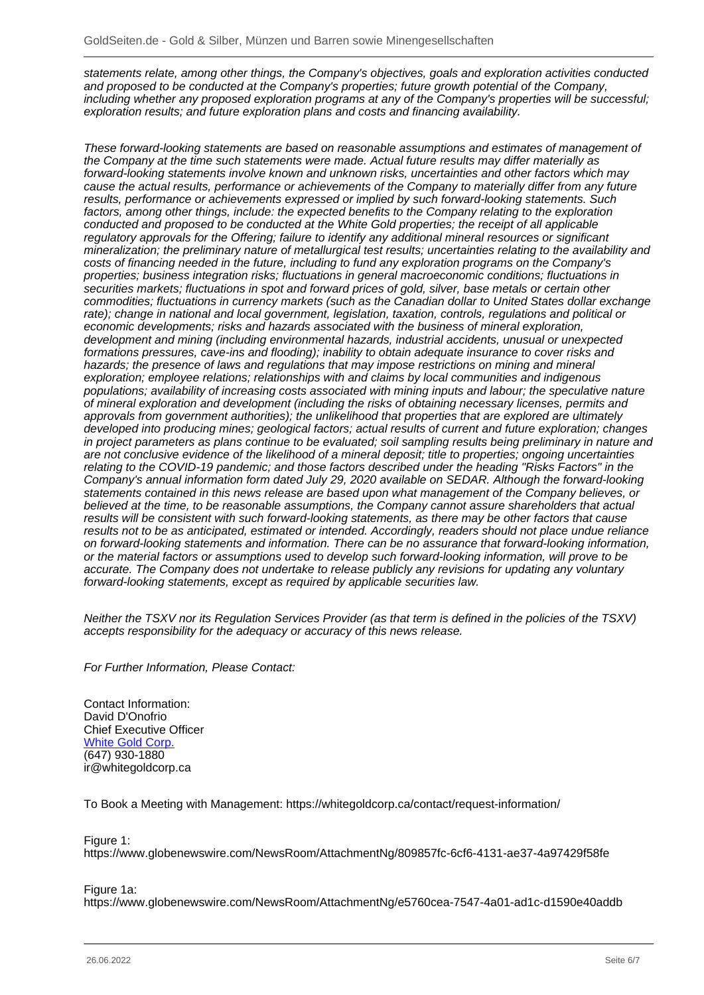statements relate, among other things, the Company's objectives, goals and exploration activities conducted and proposed to be conducted at the Company's properties; future growth potential of the Company, including whether any proposed exploration programs at any of the Company's properties will be successful; exploration results; and future exploration plans and costs and financing availability.

These forward-looking statements are based on reasonable assumptions and estimates of management of the Company at the time such statements were made. Actual future results may differ materially as forward-looking statements involve known and unknown risks, uncertainties and other factors which may cause the actual results, performance or achievements of the Company to materially differ from any future results, performance or achievements expressed or implied by such forward-looking statements. Such factors, among other things, include: the expected benefits to the Company relating to the exploration conducted and proposed to be conducted at the White Gold properties; the receipt of all applicable regulatory approvals for the Offering; failure to identify any additional mineral resources or significant mineralization; the preliminary nature of metallurgical test results; uncertainties relating to the availability and costs of financing needed in the future, including to fund any exploration programs on the Company's properties; business integration risks; fluctuations in general macroeconomic conditions; fluctuations in securities markets; fluctuations in spot and forward prices of gold, silver, base metals or certain other commodities; fluctuations in currency markets (such as the Canadian dollar to United States dollar exchange rate); change in national and local government, legislation, taxation, controls, regulations and political or economic developments; risks and hazards associated with the business of mineral exploration, development and mining (including environmental hazards, industrial accidents, unusual or unexpected formations pressures, cave-ins and flooding); inability to obtain adequate insurance to cover risks and hazards; the presence of laws and regulations that may impose restrictions on mining and mineral exploration; employee relations; relationships with and claims by local communities and indigenous populations; availability of increasing costs associated with mining inputs and labour; the speculative nature of mineral exploration and development (including the risks of obtaining necessary licenses, permits and approvals from government authorities); the unlikelihood that properties that are explored are ultimately developed into producing mines; geological factors; actual results of current and future exploration; changes in project parameters as plans continue to be evaluated; soil sampling results being preliminary in nature and are not conclusive evidence of the likelihood of a mineral deposit; title to properties; ongoing uncertainties relating to the COVID-19 pandemic; and those factors described under the heading "Risks Factors" in the Company's annual information form dated July 29, 2020 available on SEDAR. Although the forward-looking statements contained in this news release are based upon what management of the Company believes, or believed at the time, to be reasonable assumptions, the Company cannot assure shareholders that actual results will be consistent with such forward-looking statements, as there may be other factors that cause results not to be as anticipated, estimated or intended. Accordingly, readers should not place undue reliance on forward-looking statements and information. There can be no assurance that forward-looking information, or the material factors or assumptions used to develop such forward-looking information, will prove to be accurate. The Company does not undertake to release publicly any revisions for updating any voluntary forward-looking statements, except as required by applicable securities law.

Neither the TSXV nor its Regulation Services Provider (as that term is defined in the policies of the TSXV) accepts responsibility for the adequacy or accuracy of this news release.

For Further Information, Please Contact:

Contact Information: David D'Onofrio Chief Executive Officer [White Gold Corp.](/minen/3340--White-Gold-Corp) (647) 930-1880 ir@whitegoldcorp.ca

To Book a Meeting with Management: https://whitegoldcorp.ca/contact/request-information/

Figure 1: https://www.globenewswire.com/NewsRoom/AttachmentNg/809857fc-6cf6-4131-ae37-4a97429f58fe

Figure 1a: https://www.globenewswire.com/NewsRoom/AttachmentNg/e5760cea-7547-4a01-ad1c-d1590e40addb